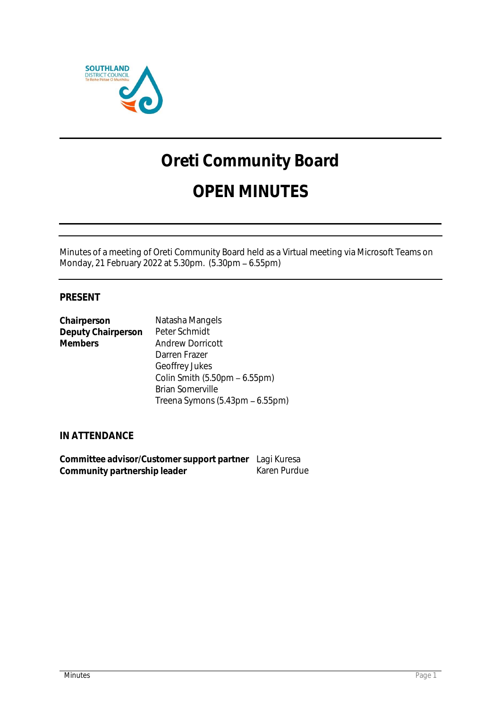

# **Oreti Community Board**

# **OPEN MINUTES**

Minutes of a meeting of Oreti Community Board held as a Virtual meeting via Microsoft Teams on Monday, 21 February 2022 at 5.30pm. (5.30pm - 6.55pm)

# **PRESENT**

| Chairperson        | Natasha Mangels                 |
|--------------------|---------------------------------|
| Deputy Chairperson | Peter Schmidt                   |
| <b>Members</b>     | <b>Andrew Dorricott</b>         |
|                    | Darren Frazer                   |
|                    | Geoffrey Jukes                  |
|                    | Colin Smith (5.50pm – 6.55pm)   |
|                    | <b>Brian Somerville</b>         |
|                    | Treena Symons (5.43pm - 6.55pm) |

**IN ATTENDANCE**

| Committee advisor/Customer support partner Lagi Kuresa |              |
|--------------------------------------------------------|--------------|
| Community partnership leader                           | Karen Purdue |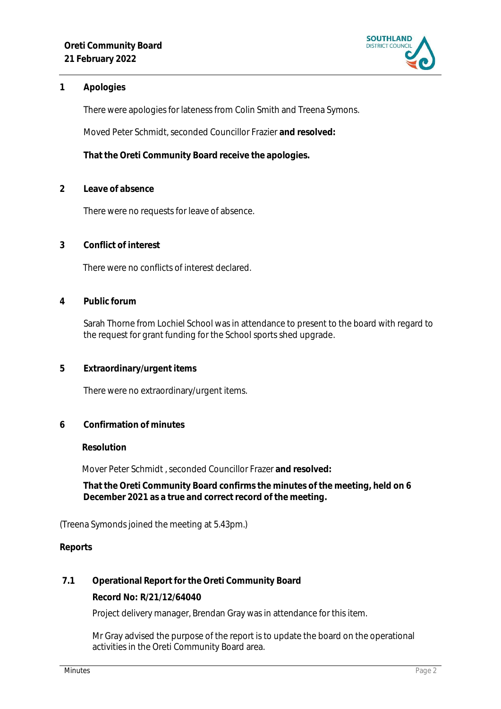

# **1 Apologies**

There were apologies for lateness from Colin Smith and Treena Symons.

Moved Peter Schmidt, seconded Councillor Frazier **and resolved:**

**That the Oreti Community Board receive the apologies.** 

**2 Leave of absence** 

There were no requests for leave of absence.

**3 Conflict of interest**

There were no conflicts of interest declared.

**4 Public forum**

Sarah Thorne from Lochiel School was in attendance to present to the board with regard to the request for grant funding for the School sports shed upgrade.

**5 Extraordinary/urgent items**

There were no extraordinary/urgent items.

**6 Confirmation of minutes**

#### **Resolution**

Mover Peter Schmidt , seconded Councillor Frazer **and resolved:**

**That the Oreti Community Board confirms the minutes of the meeting, held on 6 December 2021 as a true and correct record of the meeting.**

(Treena Symonds joined the meeting at 5.43pm.)

**Reports**

**7.1 Operational Report for the Oreti Community Board**

**Record No: R/21/12/64040**

Project delivery manager, Brendan Gray was in attendance for this item.

Mr Gray advised the purpose of the report is to update the board on the operational activities in the Oreti Community Board area.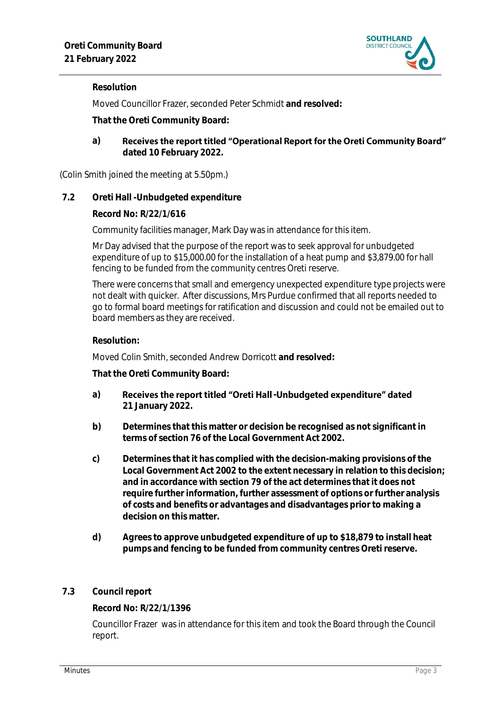

# **Resolution**

Moved Councillor Frazer, seconded Peter Schmidt **and resolved:**

**That the Oreti Community Board:**

Receives the report titled "Operational Report for the Oreti Community Board" **a) dated 10 February 2022.**

(Colin Smith joined the meeting at 5.50pm.)

**7.2 Oreti Hall -Unbudgeted expenditure**

**Record No: R/22/1/616**

Community facilities manager, Mark Day was in attendance for this item.

Mr Day advised that the purpose of the report was to seek approval for unbudgeted expenditure of up to \$15,000.00 for the installation of a heat pump and \$3,879.00 for hall fencing to be funded from the community centres Oreti reserve.

There were concerns that small and emergency unexpected expenditure type projects were not dealt with quicker. After discussions, Mrs Purdue confirmed that all reports needed to go to formal board meetings for ratification and discussion and could not be emailed out to board members as they are received.

#### **Resolution:**

Moved Colin Smith, seconded Andrew Dorricott **and resolved:**

**That the Oreti Community Board:**

- a) Receives the report titled "Oreti Hall -Unbudgeted expenditure" dated **21 January 2022.**
- **b) Determines that this matter or decision be recognised as not significant in terms of section 76 of the Local Government Act 2002.**
- **c) Determines that it has complied with the decision-making provisions of the Local Government Act 2002 to the extent necessary in relation to this decision; and in accordance with section 79 of the act determines that it does not require further information, further assessment of options or further analysis of costs and benefits or advantages and disadvantages prior to making a decision on this matter.**
- **d) Agrees to approve unbudgeted expenditure of up to \$18,879 to install heat pumps and fencing to be funded from community centres Oreti reserve.**
- **7.3 Council report**

**Record No: R/22/1/1396**

Councillor Frazer was in attendance for this item and took the Board through the Council report.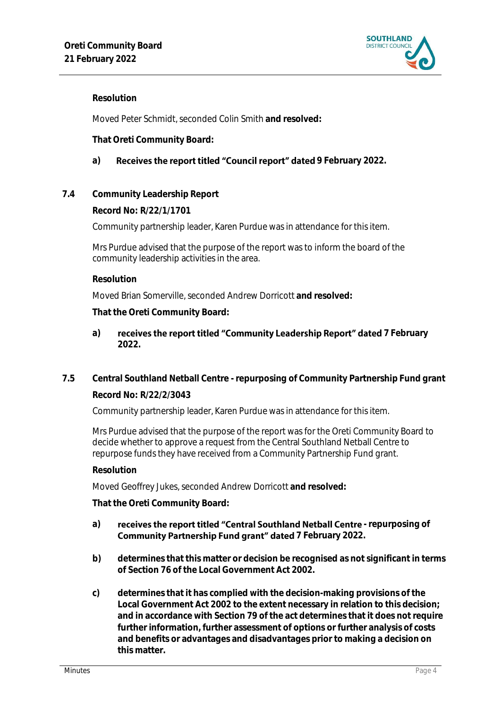

# **Resolution**

Moved Peter Schmidt, seconded Colin Smith **and resolved:**

**That Oreti Community Board:**

# a) Receives the report titled "Council report" dated 9 February 2022.

**7.4 Community Leadership Report**

**Record No: R/22/1/1701**

Community partnership leader, Karen Purdue was in attendance for this item.

2 Mrs Purdue advised that the purpose of the report was to inform the board of the community leadership activities in the area.

#### **Resolution**

Moved Brian Somerville, seconded Andrew Dorricott **and resolved:**

**That the Oreti Community Board:**

# a) **receives the report titled "Community Leadership Report" dated 7 February 2022.**

**7.5 Central Southland Netball Centre - repurposing of Community Partnership Fund grant**

# **Record No: R/22/2/3043**

3 Community partnership leader, Karen Purdue was in attendance for this item.

Mrs Purdue advised that the purpose of the report was for the Oreti Community Board to decide whether to approve a request from the Central Southland Netball Centre to repurpose funds they have received from a Community Partnership Fund grant.

#### **Resolution**

Moved Geoffrey Jukes, seconded Andrew Dorricott **and resolved:**

**That the Oreti Community Board:**

# a) **receives the report titled "Central Southland Netball Centre - repurposing of Community Partnership Fund grant" dated** 7 February 2022.

- **b) determines that this matter or decision be recognised as not significant in terms of Section 76 of the Local Government Act 2002.**
- **c) determines that it has complied with the decision-making provisions of the Local Government Act 2002 to the extent necessary in relation to this decision; and in accordance with Section 79 of the act determines that it does not require further information, further assessment of options or further analysis of costs and benefits or advantages and disadvantages prior to making a decision on this matter.**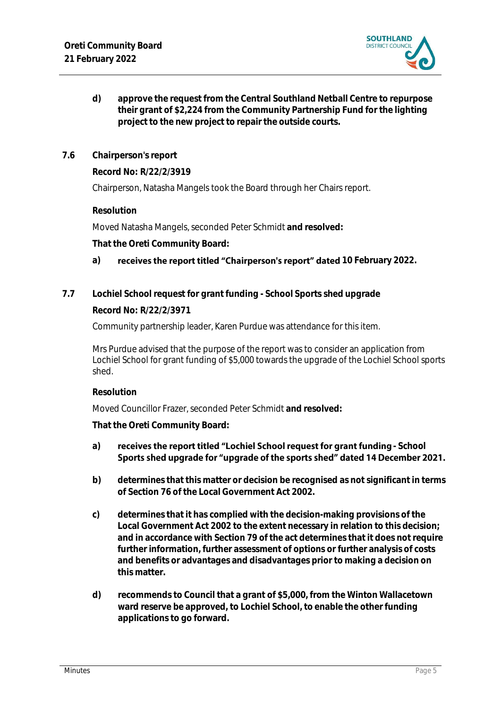

- **d) approve the request from the Central Southland Netball Centre to repurpose their grant of \$2,224 from the Community Partnership Fund for the lighting project to the new project to repair the outside courts.**
- **7.6 Chairperson's report**

**Record No: R/22/2/3919**

Chairperson, Natasha Mangels took the Board through her Chairs report.

**Resolution** 

Moved Natasha Mangels, seconded Peter Schmidt **and resolved:**

**That the Oreti Community Board:**

# a) **receives the report titled "Chairperson's report" dated 10 February 2022.**

**7.7 Lochiel School request for grant funding - School Sports shed upgrade**

# **Record No: R/22/2/3971**

Community partnership leader, Karen Purdue was attendance for this item.

Mrs Purdue advised that the purpose of the report was to consider an application from Lochiel School for grant funding of \$5,000 towards the upgrade of the Lochiel School sports shed.

**Resolution**

Moved Councillor Frazer, seconded Peter Schmidt **and resolved:**

**That the Oreti Community Board:**

#### a) **receives the report titled "Lochiel School request for grant funding - School** Sports shed upgrade for "upgrade of the sports shed" dated 14 December 2021.

- **b) determines that this matter or decision be recognised as not significant in terms of Section 76 of the Local Government Act 2002.**
- **c) determines that it has complied with the decision-making provisions of the Local Government Act 2002 to the extent necessary in relation to this decision; and in accordance with Section 79 of the act determines that it does not require further information, further assessment of options or further analysis of costs and benefits or advantages and disadvantages prior to making a decision on this matter.**
- **d) recommends to Council that a grant of \$5,000, from the Winton Wallacetown ward reserve be approved, to Lochiel School, to enable the other funding applications to go forward.**